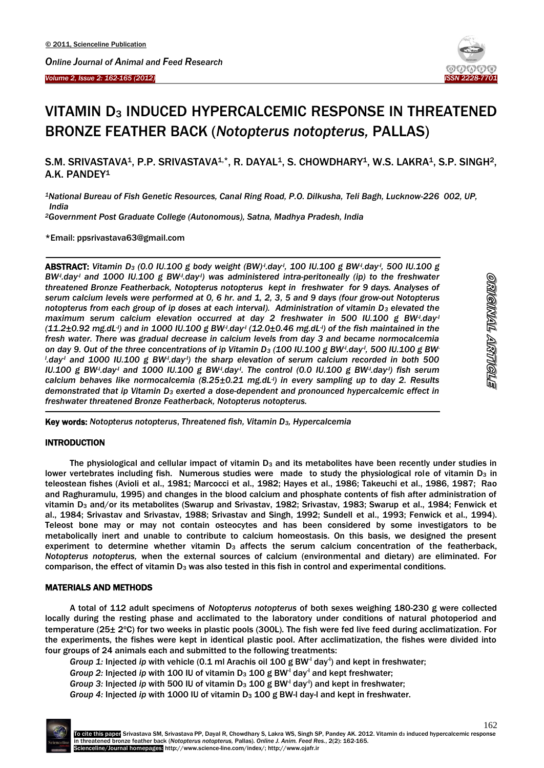



# VITAMIN D<sub>3</sub> INDUCED HYPERCALCEMIC RESPONSE IN THREATENED BRONZE FEATHER BACK (*Notopterus notopterus,* PALLAS)

S.M. SRIVASTAVA<sup>1</sup>, P.P. SRIVASTAVA<sup>1,\*</sup>, R. DAYAL<sup>1</sup>, S. CHOWDHARY<sup>1</sup>, W.S. LAKRA<sup>1</sup>, S.P. SINGH<sup>2</sup>, A.K. PANDEY<sup>1</sup>

*<sup>1</sup>National Bureau of Fish Genetic Resources, Canal Ring Road, P.O. Dilkusha, Teli Bagh, Lucknow-226 002, UP, India*

*<sup>2</sup>Government Post Graduate College (Autonomous), Satna, Madhya Pradesh, India*

\*Email: ppsrivastava63@gmail.com

ABSTRACT: *Vitamin D<sup>3</sup> (0.0 IU.100 g body weight (BW)-l .day-l , 100 IU.100 g BW-l .day-l , 500 IU.100 g BW<sup><i>-*</sup></sup>.day<sup>-</sup> and 1000 IU.100 g BW<sup>-1</sup>.day<sup>-</sup>/) was administered intra-peritoneally (ip) to the freshwater *threatened Bronze Featherback, Notopterus notopterus kept in freshwater for 9 days. Analyses of serum calcium levels were performed at 0, 6 hr. and 1, 2, 3, 5 and 9 days (four grow-out Notopterus notopterus from each group of ip doses at each interval). Administration of vitamin D<sup>3</sup> elevated the maximum serum calcium elevation occurred at day 2 freshwater in 500 IU.100 g BW-l .day-l (11.2±0.92 mg.dL-l ) and in 1000 IU.100 g BW-l .day-l (12.0±0.46 mg.dL-l ) of the fish maintained in the fresh water. There was gradual decrease in calcium levels from day 3 and became normocalcemia on day 9. Out of the three concentrations of ip Vitamin D<sup>3</sup> (100 IU.100 g BW-l .day-l , 500 IU.100 g BWl .day-l and 1000 IU.100 g BW-l .day-l ) the sharp elevation of serum calcium recorded in both 500 IU.100 g BW-l .day-l and 1000 IU.100 g BW-l .day-l . The control (0.0 IU.100 g BW-l .day-l ) fish serum calcium behaves like normocalcemia (8.25±0.21 mg.dL-l ) in every sampling up to day 2. Results demonstrated that ip Vitamin D<sup>3</sup> exerted a dose-dependent and pronounced hypercalcemic effect in freshwater threatened Bronze Featherback, Notopterus notopterus.*

Key words: *Notopterus notopterus*, *Threatened fish, Vitamin D3, Hypercalcemia*

## INTRODUCTION

 $\overline{\phantom{a}}$ 

-

The physiological and cellular impact of vitamin  $D_3$  and its metabolites have been recently under studies in lower vertebrates including fish. Numerous studies were made to study the physiological role of vitamin  $D_3$  in teleostean fishes (Avioli et al., 1981; Marcocci et al., 1982; Hayes et al., 1986; Takeuchi et al., 1986, 1987; Rao and Raghuramulu, 1995) and changes in the blood calcium and phosphate contents of fish after administration of vitamin D<sub>3</sub> and/or its metabolites (Swarup and Srivastav, 1982; Srivastav, 1983; Swarup et al., 1984; Fenwick et al., 1984; Srivastav and Srivastav, 1988; Srivastav and Singh, 1992; Sundell et al., 1993; Fenwick et al., 1994). Teleost bone may or may not contain osteocytes and has been considered by some investigators to be metabolically inert and unable to contribute to calcium homeostasis. On this basis, we designed the present experiment to determine whether vitamin D<sub>3</sub> affects the serum calcium concentration of the featherback, *Notopterus notopterus,* when the external sources of calcium (environmental and dietary) are eliminated. For comparison, the effect of vitamin D<sub>3</sub> was also tested in this fish in control and experimental conditions.

#### MATERIALS AND METHODS

A total of 112 adult specimens of *Notopterus notopterus* of both sexes weighing 180-230 g were collected locally during the resting phase and acclimated to the laboratory under conditions of natural photoperiod and temperature ( $25\pm 2$ °C) for two weeks in plastic pools ( $300L$ ). The fish were fed live feed during acclimatization. For the experiments, the fishes were kept in identical plastic pool. After acclimatization, the fishes were divided into four groups of 24 animals each and submitted to the following treatments:

Group 1: Injected ip with vehicle (0.1 ml Arachis oil 100 g BW<sup>-1</sup> day<sup>-1</sup>) and kept in freshwater;

*Group 2:* Injected *ip* with 100 IU of vitamin D<sub>3</sub> 100 g BW<sup>-1</sup> day<sup>-1</sup> and kept freshwater;

Group 3: Injected ip with 500 IU of vitamin  $D_3$  100 g BW<sup>-I</sup> day<sup>-I</sup>) and kept in freshwater;

*Group 4:* Injected *ip* with 1000 IU of vitamin D<sub>3</sub> 100 g BW-I day-I and kept in freshwater.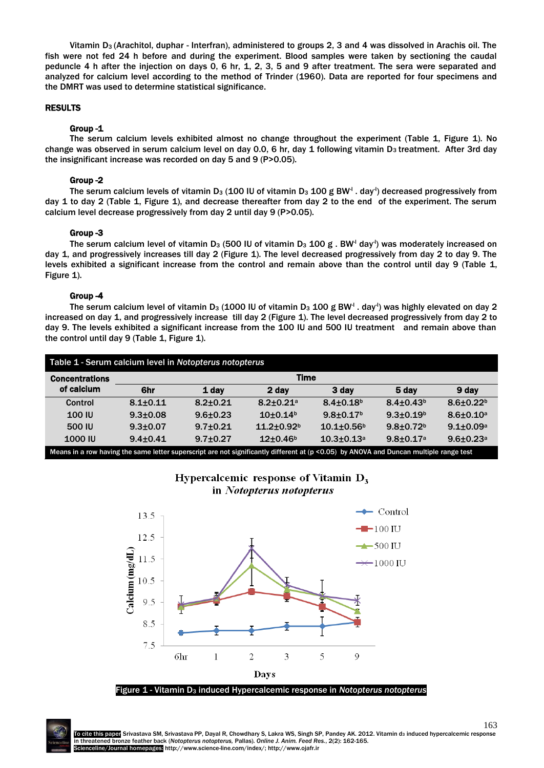Vitamin D<sub>3</sub> (Arachitol, duphar - Interfran), administered to groups 2, 3 and 4 was dissolved in Arachis oil. The fish were not fed 24 h before and during the experiment. Blood samples were taken by sectioning the caudal peduncle 4 h after the injection on days 0, 6 hr, 1, 2, 3, 5 and 9 after treatment. The sera were separated and analyzed for calcium level according to the method of Trinder (1960). Data are reported for four specimens and the DMRT was used to determine statistical significance.

#### RESULTS

#### Group -1

The serum calcium levels exhibited almost no change throughout the experiment (Table 1, Figure 1). No change was observed in serum calcium level on day 0.0, 6 hr, day 1 following vitamin D<sub>3</sub> treatment. After 3rd day the insignificant increase was recorded on day 5 and 9 (P>0.05).

#### Group -2

The serum calcium levels of vitamin D $_3$  (100 IU of vitamin D $_3$  100 g BW $^\mathsf{l}$  . day $^\mathsf{l}$ ) decreased progressively from day 1 to day 2 (Table 1, Figure 1), and decrease thereafter from day 2 to the end of the experiment. The serum calcium level decrease progressively from day 2 until day 9 (P>0.05).

#### Group -3

The serum calcium level of vitamin D<sub>3</sub> (500 IU of vitamin D<sub>3</sub> 100 g . BW<sup>-I</sup> day<sup>-I</sup>) was moderately increased on day 1, and progressively increases till day 2 (Figure 1). The level decreased progressively from day 2 to day 9. The levels exhibited a significant increase from the control and remain above than the control until day 9 (Table 1, Figure 1).

# Group -4

The serum calcium level of vitamin D<sub>3</sub> (1000 IU of vitamin D<sub>3</sub> 100 g BW<sup>-I</sup> . day<sup>-I</sup>) was highly elevated on day 2 increased on day 1, and progressively increase till day 2 (Figure 1). The level decreased progressively from day 2 to day 9. The levels exhibited a significant increase from the 100 IU and 500 IU treatment and remain above than the control until day 9 (Table 1, Figure 1).

| Table 1 - Serum calcium level in Notopterus notopterus                                                                                  |                |                |                           |                             |                             |                             |
|-----------------------------------------------------------------------------------------------------------------------------------------|----------------|----------------|---------------------------|-----------------------------|-----------------------------|-----------------------------|
| <b>Concentrations</b><br>of calcium                                                                                                     | <b>Time</b>    |                |                           |                             |                             |                             |
|                                                                                                                                         | 6hr            | 1 day          | 2 day                     | 3 day                       | 5 day                       | 9 day                       |
| Control                                                                                                                                 | $8.1 + 0.11$   | $8.2 + 0.21$   | $8.2 + 0.21$ <sup>a</sup> | $8.4 \pm 0.18$ <sup>b</sup> | $8.4 \pm 0.43^b$            | $8.6 \pm 0.22$ <sup>b</sup> |
| <b>100 IU</b>                                                                                                                           | $9.3 \pm 0.08$ | $9.6 + 0.23$   | $10+0.14b$                | $9.8 \pm 0.17$ <sup>b</sup> | $9.3 + 0.19b$               | $8.6 \pm 0.10^a$            |
| 500 IU                                                                                                                                  | $9.3 + 0.07$   | $9.7 + 0.21$   | $11.2 + 0.92b$            | $10.1 + 0.56$ <sup>b</sup>  | $9.8 \pm 0.72$ <sup>b</sup> | $9.1 \pm 0.09^a$            |
| <b>1000 IU</b>                                                                                                                          | $9.4 \pm 0.41$ | $9.7 \pm 0.27$ | $12+0.46b$                | $10.3 + 0.13$ <sup>a</sup>  | $9.8 \pm 0.17$ <sup>a</sup> | $9.6 \pm 0.23$ <sup>a</sup> |
| Means in a row having the same letter superscript are not significantly different at (p < 0.05) by ANOVA and Duncan multiple range test |                |                |                           |                             |                             |                             |



# Hypercalcemic response of Vitamin  $D_3$ in Notopterus notopterus

163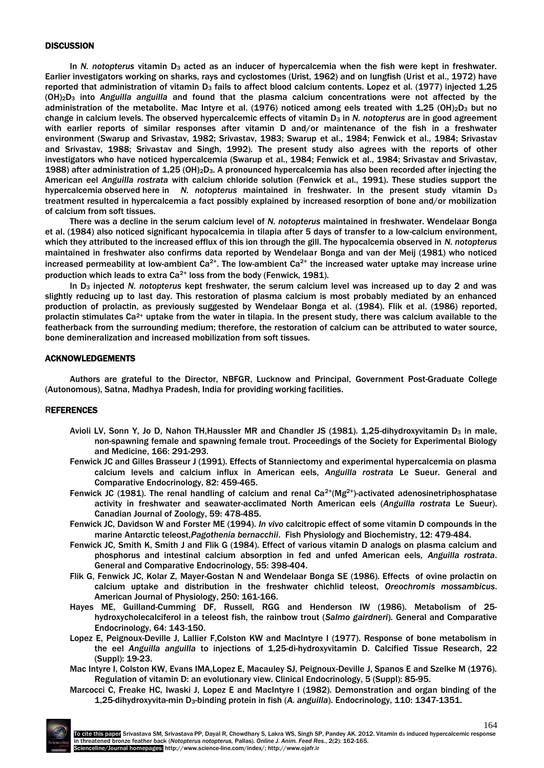# **DISCUSSION**

In *N. notopterus* vitamin D<sub>3</sub> acted as an inducer of hypercalcemia when the fish were kept in freshwater. Earlier investigators working on sharks, rays and cyclostomes (Urist, 1962) and on lungfish (Urist et al., 1972) have reported that administration of vitamin D<sub>3</sub> fails to affect blood calcium contents. Lopez et al. (1977) injected 1,25 (OH)2D<sup>3</sup> into *Anguilla anguilla* and found that the plasma calcium concentrations were not affected by the administration of the metabolite. Mac Intyre et al. (1976) noticed among eels treated with 1,25 (OH)<sub>2</sub>D<sub>3</sub> but no change in calcium levels. The observed hypercalcemic effects of vitamin D<sup>3</sup> in *N. notopterus* are in good agreement with earlier reports of similar responses after vitamin D and/or maintenance of the fish in a freshwater environment (Swarup and Srivastav, 1982; Srivastav, 1983; Swarup et al., 1984; Fenwick et al., 1984; Srivastav and Srivastav, 1988; Srivastav and Singh, 1992). The present study also agrees with the reports of other investigators who have noticed hypercalcemia (Swarup et al., 1984; Fenwick et al., 1984; Srivastav and Srivastav, 1988) after administration of 1,25 (OH)2D3. A pronounced hypercalcemia has also been recorded after injecting the American eel *Anguilla rostrata* with calcium chloride solution (Fenwick et al., 1991). These studies support the hypercalcemia observed here in *N. notopterus* maintained in freshwater. In the present study vitamin D<sup>3</sup> treatment resulted in hypercalcemia a fact possibly explained by increased resorption of bone and/or mobilization of calcium from soft tissues.

There was a decline in the serum calcium level of *N. notopterus* maintained in freshwater. Wendelaar Bonga et al. (1984) also noticed significant hypocalcemia in tilapia after 5 days of transfer to a low-calcium environment, which they attributed to the increased efflux of this ion through the gill. The hypocalcemia observed in *N. notopterus*  maintained in freshwater also confirms data reported by Wendelaar Bonga and van der Meij (1981) who noticed increased permeability at low-ambient  $Ca^{2+}$ . The low-ambient  $Ca^{2+}$  the increased water uptake may increase urine production which leads to extra  $Ca^{2+}$  loss from the body (Fenwick, 1981).

In D<sup>3</sup> injected *N. notopterus* kept freshwater, the serum calcium level was increased up to day 2 and was slightly reducing up to last day. This restoration of plasma calcium is most probably mediated by an enhanced production of prolactin, as previously suggested by Wendelaar Bonga et al. (1984). Flik et al. (1986) reported, prolactin stimulates  $Ca^{2+}$  uptake from the water in tilapia. In the present study, there was calcium available to the featherback from the surrounding medium; therefore, the restoration of calcium can be attributed to water source, bone demineralization and increased mobilization from soft tissues.

## ACKNOWLEDGEMENTS

Authors are grateful to the Director, NBFGR, Lucknow and Principal, Government Post-Graduate College (Autonomous), Satna, Madhya Pradesh, India for providing working facilities.

#### REFERENCES

- Avioli LV, Sonn Y, Jo D, Nahon TH, Haussler MR and Chandler JS (1981). 1, 25-dihydroxyvitamin D<sub>3</sub> in male, non-spawning female and spawning female trout. Proceedings of the Society for Experimental Biology and Medicine, 166: 291-293.
- Fenwick JC and Gilles Brasseur J (1991). Effects of Stanniectomy and experimental hypercalcemia on plasma calcium levels and calcium influx in American eels, *Anguilla rostrata* Le Sueur. General and Comparative Endocrinology, 82: 459-465.
- Fenwick JC (1981). The renal handling of calcium and renal  $Ca^{2+}(Mg^{2+})$ -activated adenosinetriphosphatase activity in freshwater and seawater-acclimated North American eels (*Anguilla rostrata* Le Sueur). Canadian Journal of Zoology, 59: 478-485.
- Fenwick JC, Davidson W and Forster ME (1994). *In vivo* calcitropic effect of some vitamin D compounds in the marine Antarctic teleost,*Pagothenia bernacchii*. Fish Physiology and Biochemistry, 12: 479-484.
- Fenwick JC, Smith K, Smith J and Flik G (1984). Effect of various vitamin D analogs on plasma calcium and phosphorus and intestinal calcium absorption in fed and unfed American eels, *Anguilla rostrata*. General and Comparative Endocrinology, 55: 398-404.
- Flik G, Fenwick JC, Kolar Z, Mayer-Gostan N and Wendelaar Bonga SE (1986). Effects of ovine prolactin on calcium uptake and distribution in the freshwater chichlid teleost, *Oreochromis mossambicus*. American Journal of Physiology, 250: 161-166.
- Hayes ME, Guilland-Cumming DF, Russell, RGG and Henderson IW (1986). Metabolism of 25 hydroxycholecalciferol in a teleost fish, the rainbow trout (*Salmo gairdneri*). General and Comparative Endocrinology, 64: 143-150.
- Lopez E, Peignoux-Deville J, Lallier F,Colston KW and MacIntyre I (1977). Response of bone metabolism in the eel *Anguilla anguilla* to injections of 1,25-di-hydroxyvitamin D. Calcified Tissue Research, 22 (Suppl): 19-23.
- Mac Intyre I, Colston KW, Evans IMA,Lopez E, Macauley SJ, Peignoux-Deville J, Spanos E and Szelke M (1976). Regulation of vitamin D: an evolutionary view. Clinical Endocrinology, 5 (Suppl): 85-95.
- Marcocci C, Freake HC, Iwaski J, Lopez E and MacIntyre I (1982). Demonstration and organ binding of the 1,25-dihydroxyvita-min D3-binding protein in fish (*A. anguilla*). Endocrinology, 110: 1347-1351.